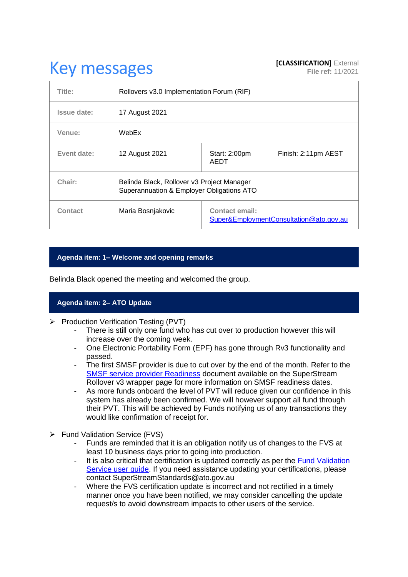# **Key messages [CLASSIFICATION]** External **[CLASSIFICATION]** External

| Title:         | Rollovers v3.0 Implementation Forum (RIF)                                               |                                                           |                     |
|----------------|-----------------------------------------------------------------------------------------|-----------------------------------------------------------|---------------------|
| Issue date:    | 17 August 2021                                                                          |                                                           |                     |
| Venue:         | WebEx                                                                                   |                                                           |                     |
| Event date:    | 12 August 2021                                                                          | Start: 2:00pm<br><b>AEDT</b>                              | Finish: 2:11pm AEST |
| Chair:         | Belinda Black, Rollover v3 Project Manager<br>Superannuation & Employer Obligations ATO |                                                           |                     |
| <b>Contact</b> | Maria Bosnjakovic                                                                       | Contact email:<br>Super&EmploymentConsultation@ato.gov.au |                     |

# **Agenda item: 1– Welcome and opening remarks**

Belinda Black opened the meeting and welcomed the group.

# **Agenda item: 2– ATO Update**

- ➢ Production Verification Testing (PVT)
	- There is still only one fund who has cut over to production however this will increase over the coming week.
	- One Electronic Portability Form (EPF) has gone through Rv3 functionality and passed.
	- The first SMSF provider is due to cut over by the end of the month. Refer to the [SMSF service provider Readiness](https://www.ato.gov.au/uploadedFiles/Content/SPR/downloads/SuperStream_Rollover_v3_SMSF_service_provider_readiness.pdf) document available on the SuperStream Rollover v3 wrapper page for more information on SMSF readiness dates.
	- As more funds onboard the level of PVT will reduce given our confidence in this system has already been confirmed. We will however support all fund through their PVT. This will be achieved by Funds notifying us of any transactions they would like confirmation of receipt for.
- ➢ Fund Validation Service (FVS)
	- Funds are reminded that it is an obligation notify us of changes to the FVS at least 10 business days prior to going into production.
	- It is also critical that certification is updated correctly as per the Fund Validation [Service user guide.](https://www.ato.gov.au/Super/SuperStream/In-detail/Validation-services/Fund-Validation-Service-user-guide/?page=1#Response_from_list_super_product_details_message) If you need assistance updating your certifications, please contact SuperStreamStandards@ato.gov.au
	- Where the FVS certification update is incorrect and not rectified in a timely manner once you have been notified, we may consider cancelling the update request/s to avoid downstream impacts to other users of the service.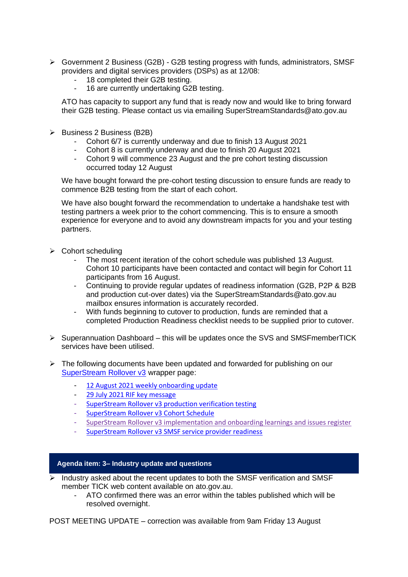- ➢ Government 2 Business (G2B) G2B testing progress with funds, administrators, SMSF providers and digital services providers (DSPs) as at 12/08:
	- 18 completed their G2B testing.<br>- 16 are currently undertaking G2
	- 16 are currently undertaking G2B testing.

ATO has capacity to support any fund that is ready now and would like to bring forward their G2B testing. Please contact us via emailing SuperStreamStandards@ato.gov.au

- ➢ Business 2 Business (B2B)
	- Cohort 6/7 is currently underway and due to finish 13 August 2021
	- Cohort 8 is currently underway and due to finish 20 August 2021
	- Cohort 9 will commence 23 August and the pre cohort testing discussion occurred today 12 August

We have bought forward the pre-cohort testing discussion to ensure funds are ready to commence B2B testing from the start of each cohort.

We have also bought forward the recommendation to undertake a handshake test with testing partners a week prior to the cohort commencing. This is to ensure a smooth experience for everyone and to avoid any downstream impacts for you and your testing partners.

- ➢ Cohort scheduling
	- The most recent iteration of the cohort schedule was published 13 August. Cohort 10 participants have been contacted and contact will begin for Cohort 11 participants from 16 August.
	- Continuing to provide regular updates of readiness information (G2B, P2P & B2B and production cut-over dates) via the SuperStreamStandards@ato.gov.au mailbox ensures information is accurately recorded.
	- With funds beginning to cutover to production, funds are reminded that a completed Production Readiness checklist needs to be supplied prior to cutover.
- ➢ Superannuation Dashboard this will be updates once the SVS and SMSFmemberTICK services have been utilised.
- $\triangleright$  The following documents have been updated and forwarded for publishing on our [SuperStream Rollover v3](https://www.ato.gov.au/Super/Sup/SuperStream-Rollover-v3/) wrapper page:
	- [12 August 2021 weekly onboarding update](https://www.ato.gov.au/uploadedFiles/Content/SPR/downloads/12_August_2021.pdf)
	- [29 July 2021 RIF key message](https://www.ato.gov.au/uploadedFiles/Content/SPR/downloads/29_July_2021.pdf)
	- [SuperStream Rollover v3 production verification testing](https://www.ato.gov.au/uploadedFiles/Content/SPR/downloads/SuperStream_Rollover_v3_production_verification_testing.pdf)
	- [SuperStream Rollover v3 Cohort Schedule](https://www.ato.gov.au/uploadedFiles/Content/SPR/downloads/SuperStream_Rollover_v3_Cohort_Schedule.pdf)
	- [SuperStream Rollover v3 implementation and onboarding learnings and issues register](https://www.ato.gov.au/uploadedFiles/Content/SPR/downloads/SuperStream_Rollovers_v3_Implementation_and_onboarding_learning_and_issues_register.pdf)
	- [SuperStream Rollover v3 SMSF service provider readiness](https://www.ato.gov.au/uploadedFiles/Content/SPR/downloads/SuperStream_Rollover_v3_SMSF_service_provider_readiness.pdf)

#### **Agenda item: 3– Industry update and questions**

- $\triangleright$  Industry asked about the recent updates to both the SMSF verification and SMSF member TICK web content available on ato.gov.au.
	- ATO confirmed there was an error within the tables published which will be resolved overnight.

POST MEETING UPDATE – correction was available from 9am Friday 13 August